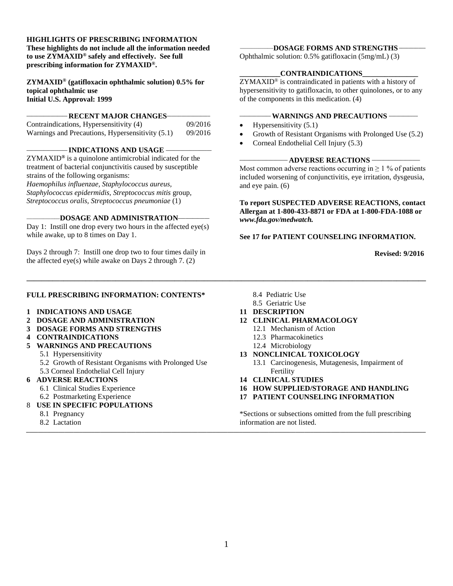**HIGHLIGHTS OF PRESCRIBING INFORMATION These highlights do not include all the information needed to use ZYMAXID® safely and effectively. See full prescribing information for ZYMAXID®.**

**ZYMAXID® (gatifloxacin ophthalmic solution) 0.5% for topical ophthalmic use Initial U.S. Approval: 1999**

**RECENT MAJOR CHANGES-**

| Contraindications, Hypersensitivity (4)          | 09/2016 |
|--------------------------------------------------|---------|
| Warnings and Precautions, Hypersensitivity (5.1) | 09/2016 |

**\_\_\_\_\_\_\_\_\_\_\_\_\_\_\_\_\_ INDICATIONS AND USAGE \_\_\_\_\_\_\_\_\_\_\_\_\_\_\_\_\_\_\_** 

ZYMAXID**®** is a quinolone antimicrobial indicated for the treatment of bacterial conjunctivitis caused by susceptible strains of the following organisms:

*Haemophilus influenzae, Staphylococcus aureus, Staphylococcus epidermidis, Streptococcus mitis* group*, Streptococcus oralis, Streptococcus pneumoniae* (1)

#### **\_\_\_\_\_\_\_\_\_\_\_\_\_\_\_\_\_\_DOSAGE AND ADMINISTRATION\_\_\_\_\_\_\_\_\_\_\_\_\_**

Day 1: Instill one drop every two hours in the affected eye(s) while awake, up to 8 times on Day 1.

Days 2 through 7: Instill one drop two to four times daily in the affected eye(s) while awake on Days 2 through 7. (2)

#### **FULL PRESCRIBING INFORMATION: CONTENTS\***

- **1 INDICATIONS AND USAGE**
- **2 DOSAGE AND ADMINISTRATION**
- **3 DOSAGE FORMS AND STRENGTHS**
- **4 CONTRAINDICATIONS**
- **5 WARNINGS AND PRECAUTIONS**
	- 5.1 Hypersensitivity
	- 5.2 Growth of Resistant Organisms with Prolonged Use 5.3 Corneal Endothelial Cell Injury

#### **6 ADVERSE REACTIONS**

- 6.1 Clinical Studies Experience
- 6.2 Postmarketing Experience
- 8 **USE IN SPECIFIC POPULATIONS**
	- 8.1 Pregnancy
	- 8.2 Lactation

**\_\_\_\_\_\_\_\_\_\_\_\_\_\_\_\_\_\_DOSAGE FORMS AND STRENGTHS \_\_\_\_\_\_\_\_\_\_\_**

Ophthalmic solution: 0.5% gatifloxacin (5mg/mL) (3)

#### **\_\_\_\_\_\_\_\_\_\_\_CONTRAINDICATIONS\_\_\_\_\_\_\_\_\_\_\_\_\_\_\_**

ZYMAXID® is contraindicated in patients with a history of hypersensitivity to gatifloxacin, to other quinolones, or to any of the components in this medication. (4)

#### **WARNINGS AND PRECAUTIONS -**

- Hypersensitivity  $(5.1)$
- Growth of Resistant Organisms with Prolonged Use (5.2)
- Corneal Endothelial Cell Injury (5.3)

#### **ADVERSE REACTIONS —**

Most common adverse reactions occurring in  $\geq 1$  % of patients included worsening of conjunctivitis, eye irritation, dysgeusia, and eye pain. (6)

**To report SUSPECTED ADVERSE REACTIONS, contact Allergan at 1-800-433-8871 or FDA at 1-800-FDA-1088 or**  *[www.fda.gov/medwatch.](http://www.fda.gov/medwatch)*

**See 17 for PATIENT COUNSELING INFORMATION.**

**Revised: 9/2016**

- 8.4 Pediatric Use
- 8.5 Geriatric Use
- **11 DESCRIPTION**
- **12 CLINICAL PHARMACOLOGY**
	- 12.1 Mechanism of Action
	- 12.3 Pharmacokinetics
	- 12.4 Microbiology
- **13 NONCLINICAL TOXICOLOGY**
	- 13.1 Carcinogenesis, Mutagenesis, Impairment of Fertility
- **14 CLINICAL STUDIES**
- **16 HOW SUPPLIED/STORAGE AND HANDLING**
- **17 PATIENT COUNSELING INFORMATION**

\*Sections or subsections omitted from the full prescribing information are not listed.

*\_\_\_\_\_\_\_\_\_\_\_\_\_\_\_\_\_\_\_\_\_\_\_\_\_\_\_\_\_\_\_\_\_\_\_\_\_\_\_\_\_\_\_\_\_\_\_\_\_\_\_\_\_\_\_\_\_\_\_\_\_\_\_\_\_\_\_\_\_\_\_\_\_\_\_\_\_\_\_\_\_\_\_\_\_\_\_\_\_\_\_\_\_\_\_\_\_\_\_\_\_\_\_\_\_\_\_\_\_\_\_\_\_\_\_\_\_\_\_\_\_\_\_\_\_\_\_\_\_\_\_\_\_\_\_*

**\_\_\_\_\_\_\_\_\_\_\_\_\_\_\_\_\_\_\_\_\_\_\_\_\_\_\_\_\_\_\_\_\_\_\_\_\_\_\_\_\_\_\_\_\_\_\_\_\_\_\_\_\_\_\_\_\_\_\_\_\_\_\_\_\_\_\_\_\_\_\_\_\_\_\_\_\_\_\_\_\_\_\_\_\_\_\_\_\_\_\_\_\_\_\_\_\_\_\_\_\_\_\_\_\_\_\_\_**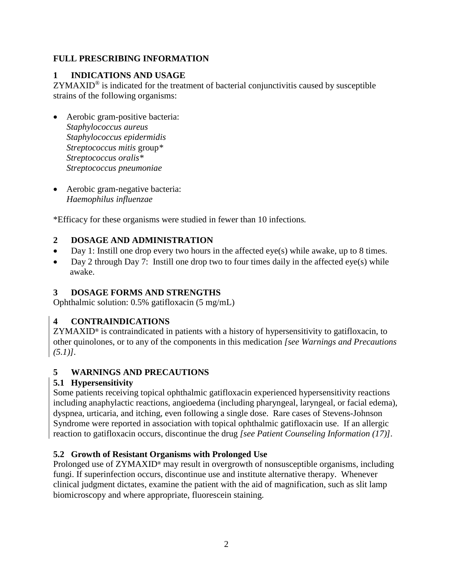## **FULL PRESCRIBING INFORMATION**

# **1 INDICATIONS AND USAGE**

 $ZYMAXID<sup>®</sup>$  is indicated for the treatment of bacterial conjunctivitis caused by susceptible strains of the following organisms:

- Aerobic gram-positive bacteria: *Staphylococcus aureus Staphylococcus epidermidis Streptococcus mitis* group*\* Streptococcus oralis\* Streptococcus pneumoniae*
- Aerobic gram-negative bacteria: *Haemophilus influenzae*

\*Efficacy for these organisms were studied in fewer than 10 infections*.*

# **2 DOSAGE AND ADMINISTRATION**

- Day 1: Instill one drop every two hours in the affected eye(s) while awake, up to 8 times.
- Day 2 through Day 7: Instill one drop two to four times daily in the affected eye(s) while awake.

## **3 DOSAGE FORMS AND STRENGTHS**

Ophthalmic solution: 0.5% gatifloxacin (5 mg/mL)

# **4 CONTRAINDICATIONS**

ZYMAXID**®** is contraindicated in patients with a history of hypersensitivity to gatifloxacin, to other quinolones, or to any of the components in this medication *[see Warnings and Precautions (5.1)].*

# **5 WARNINGS AND PRECAUTIONS**

# **5.1 Hypersensitivity**

Some patients receiving topical ophthalmic gatifloxacin experienced hypersensitivity reactions including anaphylactic reactions, angioedema (including pharyngeal, laryngeal, or facial edema), dyspnea, urticaria, and itching, even following a single dose. Rare cases of Stevens-Johnson Syndrome were reported in association with topical ophthalmic gatifloxacin use. If an allergic reaction to gatifloxacin occurs, discontinue the drug *[see Patient Counseling Information (17)].*

# **5.2 Growth of Resistant Organisms with Prolonged Use**

Prolonged use of ZYMAXID**®** may result in overgrowth of nonsusceptible organisms, including fungi. If superinfection occurs, discontinue use and institute alternative therapy. Whenever clinical judgment dictates, examine the patient with the aid of magnification, such as slit lamp biomicroscopy and where appropriate, fluorescein staining.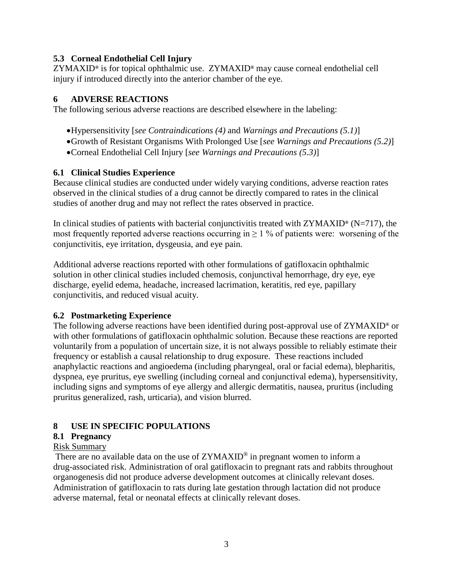#### **5.3 Corneal Endothelial Cell Injury**

ZYMAXID**®** is for topical ophthalmic use. ZYMAXID**®** may cause corneal endothelial cell injury if introduced directly into the anterior chamber of the eye.

### **6 ADVERSE REACTIONS**

The following serious adverse reactions are described elsewhere in the labeling:

- •Hypersensitivity [*see Contraindications (4)* and *Warnings and Precautions (5.1)*]
- •Growth of Resistant Organisms With Prolonged Use [*see Warnings and Precautions (5.2)*]
- •Corneal Endothelial Cell Injury [*see Warnings and Precautions (5.3)*]

#### **6.1 Clinical Studies Experience**

Because clinical studies are conducted under widely varying conditions, adverse reaction rates observed in the clinical studies of a drug cannot be directly compared to rates in the clinical studies of another drug and may not reflect the rates observed in practice.

In clinical studies of patients with bacterial conjunctivitis treated with ZYMAXID**®** (N=717), the most frequently reported adverse reactions occurring in  $\geq 1$  % of patients were: worsening of the conjunctivitis, eye irritation, dysgeusia, and eye pain.

Additional adverse reactions reported with other formulations of gatifloxacin ophthalmic solution in other clinical studies included chemosis, conjunctival hemorrhage, dry eye, eye discharge, eyelid edema, headache, increased lacrimation, keratitis, red eye, papillary conjunctivitis, and reduced visual acuity.

### **6.2 Postmarketing Experience**

The following adverse reactions have been identified during post-approval use of ZYMAXID**®** or with other formulations of gatifloxacin ophthalmic solution. Because these reactions are reported voluntarily from a population of uncertain size, it is not always possible to reliably estimate their frequency or establish a causal relationship to drug exposure. These reactions included anaphylactic reactions and angioedema (including pharyngeal, oral or facial edema), blepharitis, dyspnea, eye pruritus, eye swelling (including corneal and conjunctival edema), hypersensitivity, including signs and symptoms of eye allergy and allergic dermatitis, nausea, pruritus (including pruritus generalized, rash, urticaria), and vision blurred.

### **8 USE IN SPECIFIC POPULATIONS**

### **8.1 Pregnancy**

### Risk Summary

There are no available data on the use of  $ZYMAXID^{\circledcirc}$  in pregnant women to inform a drug-associated risk. Administration of oral gatifloxacin to pregnant rats and rabbits throughout organogenesis did not produce adverse development outcomes at clinically relevant doses. Administration of gatifloxacin to rats during late gestation through lactation did not produce adverse maternal, fetal or neonatal effects at clinically relevant doses.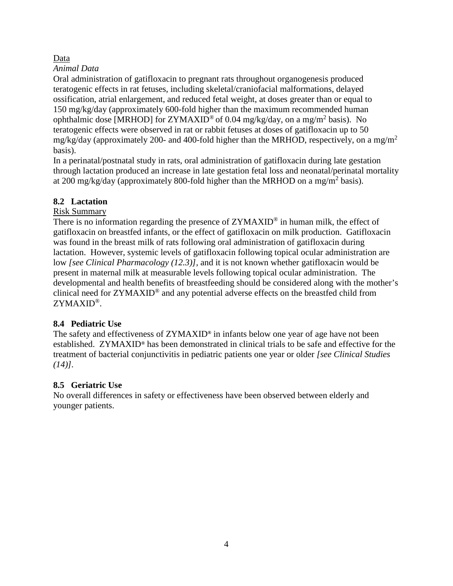### Data

### *Animal Data*

Oral administration of gatifloxacin to pregnant rats throughout organogenesis produced teratogenic effects in rat fetuses, including skeletal/craniofacial malformations, delayed ossification, atrial enlargement, and reduced fetal weight, at doses greater than or equal to 150 mg/kg/day (approximately 600-fold higher than the maximum recommended human ophthalmic dose [MRHOD] for  $ZYMAXID^{\circledcirc}$  of 0.04 mg/kg/day, on a mg/m<sup>2</sup> basis). No teratogenic effects were observed in rat or rabbit fetuses at doses of gatifloxacin up to 50 mg/kg/day (approximately 200- and 400-fold higher than the MRHOD, respectively, on a mg/m<sup>2</sup> basis).

In a perinatal/postnatal study in rats, oral administration of gatifloxacin during late gestation through lactation produced an increase in late gestation fetal loss and neonatal/perinatal mortality at 200 mg/kg/day (approximately 800-fold higher than the MRHOD on a mg/m<sup>2</sup> basis).

## **8.2 Lactation**

### Risk Summary

There is no information regarding the presence of ZYMAXID<sup>®</sup> in human milk, the effect of gatifloxacin on breastfed infants, or the effect of gatifloxacin on milk production. Gatifloxacin was found in the breast milk of rats following oral administration of gatifloxacin during lactation. However, systemic levels of gatifloxacin following topical ocular administration are low *[see Clinical Pharmacology (12.3)],* and it is not known whether gatifloxacin would be present in maternal milk at measurable levels following topical ocular administration. The developmental and health benefits of breastfeeding should be considered along with the mother's clinical need for ZYMAXID® and any potential adverse effects on the breastfed child from ZYMAXID®.

## **8.4 Pediatric Use**

The safety and effectiveness of ZYMAXID**®** in infants below one year of age have not been established. ZYMAXID**®** has been demonstrated in clinical trials to be safe and effective for the treatment of bacterial conjunctivitis in pediatric patients one year or older *[see Clinical Studies (14)].*

## **8.5 Geriatric Use**

No overall differences in safety or effectiveness have been observed between elderly and younger patients.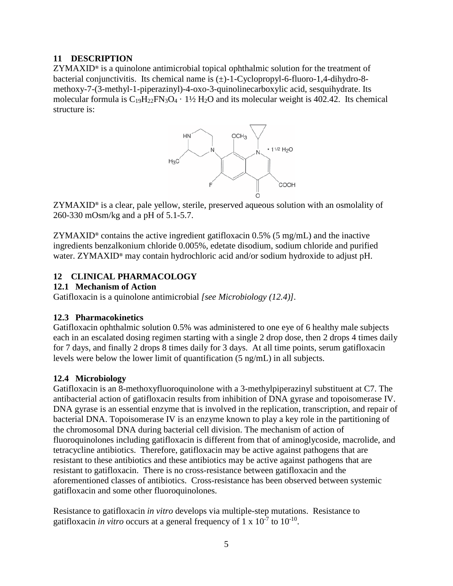#### **11 DESCRIPTION**

ZYMAXID**®** is a quinolone antimicrobial topical ophthalmic solution for the treatment of bacterial conjunctivitis. Its chemical name is  $(\pm)$ -1-Cyclopropyl-6-fluoro-1,4-dihydro-8methoxy-7-(3-methyl-1-piperazinyl)-4-oxo-3-quinolinecarboxylic acid, sesquihydrate. Its molecular formula is  $C_{19}H_{22}FN_3O_4 \cdot 1\frac{1}{2}H_2O$  and its molecular weight is 402.42. Its chemical structure is:



 ZYMAXID**®** is a clear, pale yellow, sterile, preserved aqueous solution with an osmolality of 260-330 mOsm/kg and a pH of 5.1-5.7.

ZYMAXID**®** contains the active ingredient gatifloxacin 0.5% (5 mg/mL) and the inactive ingredients benzalkonium chloride 0.005%, edetate disodium, sodium chloride and purified water. ZYMAXID**®** may contain hydrochloric acid and/or sodium hydroxide to adjust pH.

### **12 CLINICAL PHARMACOLOGY**

#### **12.1 Mechanism of Action**

Gatifloxacin is a quinolone antimicrobial *[see Microbiology (12.4)].*

### **12.3 Pharmacokinetics**

Gatifloxacin ophthalmic solution 0.5% was administered to one eye of 6 healthy male subjects each in an escalated dosing regimen starting with a single 2 drop dose, then 2 drops 4 times daily for 7 days, and finally 2 drops 8 times daily for 3 days. At all time points, serum gatifloxacin levels were below the lower limit of quantification (5 ng/mL) in all subjects.

### **12.4 Microbiology**

Gatifloxacin is an 8-methoxyfluoroquinolone with a 3-methylpiperazinyl substituent at C7. The antibacterial action of gatifloxacin results from inhibition of DNA gyrase and topoisomerase IV. DNA gyrase is an essential enzyme that is involved in the replication, transcription, and repair of bacterial DNA. Topoisomerase IV is an enzyme known to play a key role in the partitioning of the chromosomal DNA during bacterial cell division. The mechanism of action of fluoroquinolones including gatifloxacin is different from that of aminoglycoside, macrolide, and tetracycline antibiotics. Therefore, gatifloxacin may be active against pathogens that are resistant to these antibiotics and these antibiotics may be active against pathogens that are resistant to gatifloxacin. There is no cross-resistance between gatifloxacin and the aforementioned classes of antibiotics. Cross-resistance has been observed between systemic gatifloxacin and some other fluoroquinolones.

Resistance to gatifloxacin *in vitro* develops via multiple-step mutations. Resistance to gatifloxacin *in vitro* occurs at a general frequency of  $1 \times 10^{-7}$  to  $10^{-10}$ .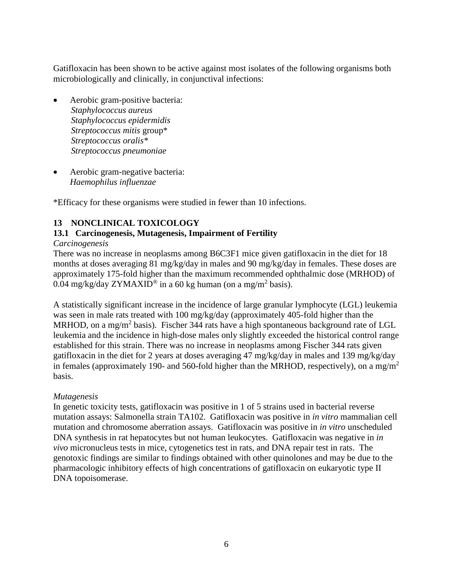Gatifloxacin has been shown to be active against most isolates of the following organisms both microbiologically and clinically, in conjunctival infections:

- Aerobic gram-positive bacteria: *Staphylococcus aureus Staphylococcus epidermidis Streptococcus mitis* group\* *Streptococcus oralis\* Streptococcus pneumoniae*
- Aerobic gram-negative bacteria: *Haemophilus influenzae*

\*Efficacy for these organisms were studied in fewer than 10 infections.

### **13 NONCLINICAL TOXICOLOGY**

### **13.1 Carcinogenesis, Mutagenesis, Impairment of Fertility**

*Carcinogenesis*

There was no increase in neoplasms among B6C3F1 mice given gatifloxacin in the diet for 18 months at doses averaging 81 mg/kg/day in males and 90 mg/kg/day in females. These doses are approximately 175-fold higher than the maximum recommended ophthalmic dose (MRHOD) of 0.04 mg/kg/day ZYMAXID<sup>®</sup> in a 60 kg human (on a mg/m<sup>2</sup> basis).

A statistically significant increase in the incidence of large granular lymphocyte (LGL) leukemia was seen in male rats treated with 100 mg/kg/day (approximately 405-fold higher than the MRHOD, on a mg/m<sup>2</sup> basis). Fischer 344 rats have a high spontaneous background rate of LGL leukemia and the incidence in high-dose males only slightly exceeded the historical control range established for this strain. There was no increase in neoplasms among Fischer 344 rats given gatifloxacin in the diet for 2 years at doses averaging 47 mg/kg/day in males and 139 mg/kg/day in females (approximately 190- and 560-fold higher than the MRHOD, respectively), on a mg/m<sup>2</sup> basis.

### *Mutagenesis*

In genetic toxicity tests, gatifloxacin was positive in 1 of 5 strains used in bacterial reverse mutation assays: Salmonella strain TA102. Gatifloxacin was positive in *in vitro* mammalian cell mutation and chromosome aberration assays. Gatifloxacin was positive in *in vitro* unscheduled DNA synthesis in rat hepatocytes but not human leukocytes. Gatifloxacin was negative in *in vivo* micronucleus tests in mice, cytogenetics test in rats, and DNA repair test in rats. The genotoxic findings are similar to findings obtained with other quinolones and may be due to the pharmacologic inhibitory effects of high concentrations of gatifloxacin on eukaryotic type II DNA topoisomerase.